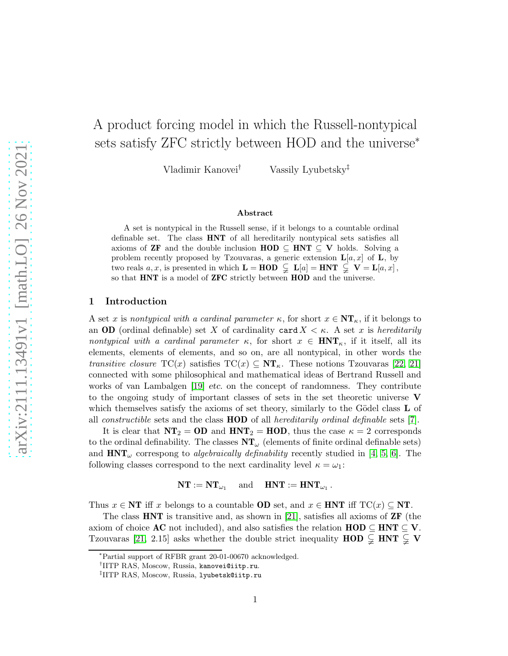# A product forcing model in which the Russell-nontypical sets satisfy ZFC strictly between HOD and the universe<sup>\*</sup>

Vladimir Kanovei† Vassily Lyubetsky‡

# Abstract

A set is nontypical in the Russell sense, if it belongs to a countable ordinal definable set. The class HNT of all hereditarily nontypical sets satisfies all axioms of **ZF** and the double inclusion  $HOD \subseteq HNT \subseteq V$  holds. Solving a problem recently proposed by Tzouvaras, a generic extension  $\mathbf{L}[a, x]$  of  $\mathbf{L}$ , by two reals  $a, x$ , is presented in which  $\mathbf{L} = \mathbf{HOD} \subsetneq \mathbf{L}[a] = \mathbf{HNT} \subsetneq \mathbf{V} = \mathbf{L}[a, x]$ , so that **HNT** is a model of **ZFC** strictly between **HOD** and the universe.

#### 1 Introduction

A set x is nontypical with a cardinal parameter  $\kappa$ , for short  $x \in \mathbf{NT}_{\kappa}$ , if it belongs to an **OD** (ordinal definable) set X of cardinality card  $X < \kappa$ . A set x is hereditarily nontypical with a cardinal parameter  $\kappa$ , for short  $x \in \text{HNT}_\kappa$ , if it itself, all its elements, elements of elements, and so on, are all nontypical, in other words the transitive closure  $TC(x)$  satisfies  $TC(x) \subseteq NT_{\kappa}$ . These notions Tzouvaras [\[22,](#page-15-0) [21\]](#page-15-1) connected with some philosophical and mathematical ideas of Bertrand Russell and works of van Lambalgen [\[19\]](#page-15-2) *etc.* on the concept of randomness. They contribute to the ongoing study of important classes of sets in the set theoretic universe V which themselves satisfy the axioms of set theory, similarly to the Gödel class  $L$  of all *constructible* sets and the class  $HOD$  of all *hereditarily ordinal definable* sets [\[7\]](#page-14-0).

It is clear that  $NT_2 = OD$  and  $HNT_2 = HOD$ , thus the case  $\kappa = 2$  corresponds to the ordinal definability. The classes  $NT_\omega$  (elements of finite ordinal definable sets) and  $HNT_{\omega}$  correspong to *algebraically definability* recently studied in [\[4,](#page-14-1) [5,](#page-14-2) [6\]](#page-14-3). The following classes correspond to the next cardinality level  $\kappa = \omega_1$ :

> $NT := NT_{\omega_1}$ and  $\mathbf{HNT} := \mathbf{HNT}_{\omega_1}$ .

Thus  $x \in \mathbf{NT}$  iff x belongs to a countable **OD** set, and  $x \in \mathbf{HNT}$  iff  $TC(x) \subseteq \mathbf{NT}$ .

The class **HNT** is transitive and, as shown in [\[21\]](#page-15-1), satisfies all axioms of **ZF** (the axiom of choice **AC** not included), and also satisfies the relation  $\text{HOD} \subseteq \text{HNT} \subseteq \text{V}$ . Tzouvaras [\[21,](#page-15-1) 2.15] asks whether the double strict inequality  $\text{HOD} \subsetneq \text{HNT} \subsetneq \text{V}$ 

<sup>∗</sup>Partial support of RFBR grant 20-01-00670 acknowledged.

<sup>†</sup> IITP RAS, Moscow, Russia, kanovei@iitp.ru.

<sup>‡</sup> IITP RAS, Moscow, Russia, lyubetsk@iitp.ru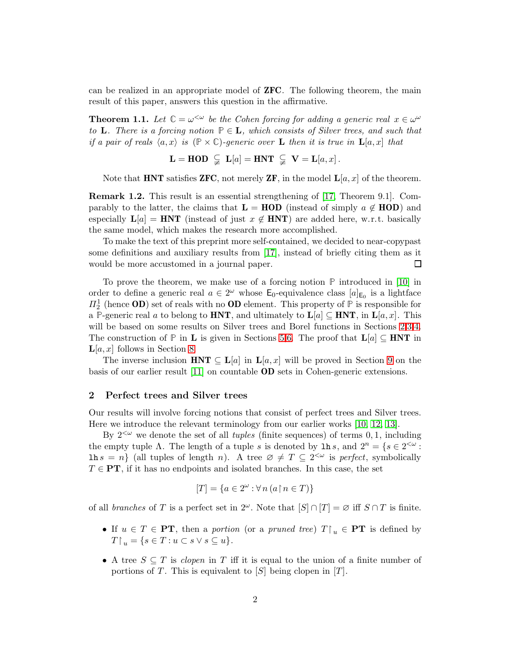can be realized in an appropriate model of ZFC. The following theorem, the main result of this paper, answers this question in the affirmative.

<span id="page-1-1"></span>**Theorem 1.1.** Let  $\mathbb{C} = \omega^{\leq \omega}$  be the Cohen forcing for adding a generic real  $x \in \omega^{\omega}$ to **L**. There is a forcing notion  $P \in L$ , which consists of Silver trees, and such that if a pair of reals  $\langle a, x \rangle$  is  $(\mathbb{P} \times \mathbb{C})$ -generic over **L** then it is true in  $\mathbf{L}[a, x]$  that

$$
\mathbf{L} = \mathbf{HOD} \subseteqneq \mathbf{L}[a] = \mathbf{HNT} \subseteqneq \mathbf{V} = \mathbf{L}[a, x].
$$

Note that **HNT** satisfies **ZFC**, not merely **ZF**, in the model  $\mathbf{L}[a, x]$  of the theorem.

Remark 1.2. This result is an essential strengthening of [\[17,](#page-15-3) Theorem 9.1]. Comparably to the latter, the claims that  $\mathbf{L} = \mathbf{HOD}$  (instead of simply  $a \notin \mathbf{HOD}$ ) and especially  $L[a] = HNT$  (instead of just  $x \notin HNT$ ) are added here, w.r.t. basically the same model, which makes the research more accomplished.

To make the text of this preprint more self-contained, we decided to near-copypast some definitions and auxiliary results from [\[17\]](#page-15-3), instead of briefly citing them as it would be more accustomed in a journal paper.  $\Box$ 

To prove the theorem, we make use of a forcing notion **P** introduced in [\[10\]](#page-15-4) in order to define a generic real  $a \in 2^{\omega}$  whose  $\mathsf{E}_0$ -equivalence class  $[a]_{\mathsf{E}_0}$  is a lightface  $\Pi_2^1$  (hence **OD**) set of reals with no **OD** element. This property of **P** is responsible for a P-generic real a to belong to **HNT**, and ultimately to  $\mathbf{L}[a] \subseteq \mathbf{HNT}$ , in  $\mathbf{L}[a, x]$ . This will be based on some results on Silver trees and Borel functions in Sections [2,](#page-1-0)[3](#page-3-0)[,4.](#page-4-0) The construction of **P** in **L** is given in Sections [5,](#page-6-0)[6.](#page-8-0) The proof that  $L[a] \subseteq HNT$  in  $\mathbf{L}[a, x]$  follows in Section [8.](#page-12-0)

The inverse inclusion  $HNT \subseteq L[a]$  in  $L[a, x]$  will be proved in Section [9](#page-13-0) on the basis of our earlier result [\[11\]](#page-15-5) on countable OD sets in Cohen-generic extensions.

#### <span id="page-1-0"></span>2 Perfect trees and Silver trees

Our results will involve forcing notions that consist of perfect trees and Silver trees. Here we introduce the relevant terminology from our earlier works [\[10,](#page-15-4) [12,](#page-15-6) [13\]](#page-15-7).

By  $2<sup>{\omega}</sup>$  we denote the set of all *tuples* (finite sequences) of terms 0, 1, including the empty tuple  $\Lambda$ . The length of a tuple s is denoted by  $\ln s$ , and  $2^n = \{s \in 2^{\leq \omega}$ :  $\text{ln } s = n$  (all tuples of length n). A tree  $\varnothing \neq T \subseteq 2^{<\omega}$  is perfect, symbolically  $T \in PT$ , if it has no endpoints and isolated branches. In this case, the set

$$
[T] = \{ a \in 2^{\omega} : \forall n \left( a \mathop{\upharpoonright} n \in T \right) \}
$$

of all *branches* of T is a perfect set in  $2^{\omega}$ . Note that  $[S] \cap [T] = \varnothing$  iff  $S \cap T$  is finite.

- If  $u \in T \in PT$ , then a portion (or a pruned tree)  $T \upharpoonright_u \in PT$  is defined by  $T \upharpoonright_u = \{ s \in T : u \subset s \vee s \subseteq u \}.$
- A tree  $S \subseteq T$  is clopen in T iff it is equal to the union of a finite number of portions of T. This is equivalent to  $[S]$  being clopen in  $[T]$ .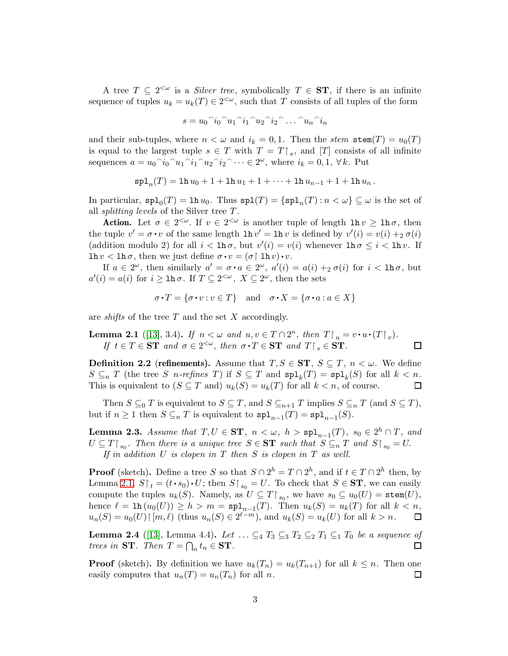A tree  $T \subseteq 2^{\leq \omega}$  is a *Silver tree*, symbolically  $T \in ST$ , if there is an infinite sequence of tuples  $u_k = u_k(T) \in 2^{<\omega}$ , such that T consists of all tuples of the form

$$
s = u_0^\n\hat{i}_0^\n\hat{i}_1^\n\hat{i}_1^\n\hat{i}_2^\n\hat{i}_2^\n\hat{i}_2^\n\hat{i}_2 \dots \hat{i}_n^\n\hat{i}_n
$$

and their sub-tuples, where  $n < \omega$  and  $i_k = 0, 1$ . Then the stem stem $(T) = u_0(T)$ is equal to the largest tuple  $s \in T$  with  $T = T \upharpoonright_s$ , and  $[T]$  consists of all infinite sequences  $a = u_0^{\rceil} i_0^{\rceil} u_1^{\rceil} i_1^{\rceil} u_2^{\rceil} i_2^{\rceil} \cdots \in 2^{\omega}$ , where  $i_k = 0, 1, \forall k$ . Put

$$
\mathrm{spl}_n(T) = \ln u_0 + 1 + \ln u_1 + 1 + \cdots + \ln u_{n-1} + 1 + \ln u_n.
$$

In particular,  $\text{spl}_0(T) = \text{lh } u_0$ . Thus  $\text{spl}(T) = \{\text{spl}_n(T) : n < \omega\} \subseteq \omega$  is the set of all *splitting levels* of the Silver tree  $T$ .

Action. Let  $\sigma \in 2^{<\omega}$ . If  $v \in 2^{<\omega}$  is another tuple of length  $\ln v \geq \ln \sigma$ , then the tuple  $v' = \sigma \cdot v$  of the same length  $\ln v' = \ln v$  is defined by  $v'(i) = v(i) + i \sigma(i)$ (addition modulo 2) for all  $i <$  1h $\sigma$ , but  $v'(i) = v(i)$  whenever  $\ln \sigma \leq i <$  1h $v$ . If  $\ln v < \ln \sigma$ , then we just define  $\sigma \cdot v = (\sigma \restriction \ln v) \cdot v$ .

If  $a \in 2^{\omega}$ , then similarly  $a' = \sigma \cdot a \in 2^{\omega}$ ,  $a'(i) = a(i) +_2 \sigma(i)$  for  $i < \ln \sigma$ , but  $a'(i) = a(i)$  for  $i \geq \ln \sigma$ . If  $T \subseteq 2^{<\omega}$ ,  $X \subseteq 2^{\omega}$ , then the sets

$$
\sigma \cdot T = \{ \sigma \cdot v : v \in T \} \quad \text{and} \quad \sigma \cdot X = \{ \sigma \cdot a : a \in X \}
$$

are *shifts* of the tree  $T$  and the set  $X$  accordingly.

<span id="page-2-0"></span>**Lemma 2.1** ([\[13\]](#page-15-7), 3.4). If  $n < \omega$  and  $u, v \in T \cap 2^n$ , then  $T \upharpoonright_u = v \cdot u \cdot (T \upharpoonright_v)$ . If  $t \in T \in \mathbf{ST}$  and  $\sigma \in 2^{<\omega}$ , then  $\sigma \cdot T \in \mathbf{ST}$  and  $T \upharpoonright_s \in \mathbf{ST}$ .  $\Box$ 

**Definition 2.2 (refinements).** Assume that  $T, S \in ST$ ,  $S \subseteq T$ ,  $n < \omega$ . We define  $S \subseteq_n T$  (the tree S *n*-refines T) if  $S \subseteq T$  and  $\text{spl}_k(T) = \text{spl}_k(S)$  for all  $k < n$ . This is equivalent to  $(S \subseteq T \text{ and})$   $u_k(S) = u_k(T)$  for all  $k < n$ , of course.  $\Box$ 

Then  $S \subseteq_0 T$  is equivalent to  $S \subseteq T$ , and  $S \subseteq_{n+1} T$  implies  $S \subseteq_n T$  (and  $S \subseteq T$ ), but if  $n \geq 1$  then  $S \subseteq_n T$  is equivalent to  $\text{spl}_{n-1}(T) = \text{spl}_{n-1}(S)$ .

<span id="page-2-2"></span>**Lemma 2.3.** Assume that  $T, U \in ST$ ,  $n < \omega$ ,  $h > sp1_{n-1}(T)$ ,  $s_0 \in 2^h \cap T$ , and  $U \subseteq T \restriction_{s_0}$ . Then there is a unique tree  $S \in ST$  such that  $S \subseteq_n T$  and  $S \restriction_{s_0} = U$ . If in addition  $U$  is clopen in  $T$  then  $S$  is clopen in  $T$  as well.

**Proof** (sketch). Define a tree S so that  $S \cap 2^h = T \cap 2^h$ , and if  $t \in T \cap 2^h$  then, by Lemma [2.1,](#page-2-0)  $S \upharpoonright_t = (t \cdot s_0) \cdot U$ ; then  $S \upharpoonright_{s_0} = U$ . To check that  $S \in ST$ , we can easily compute the tuples  $u_k(S)$ . Namely, as  $U \subseteq T \upharpoonright_{s_0}$ , we have  $s_0 \subseteq u_0(U) = \texttt{stem}(U)$ , hence  $\ell = \text{lh}(u_0(U)) \geq h > m = \text{spl}_{n-1}(T)$ . Then  $u_k(S) = u_k(T)$  for all  $k < n$ ,  $u_n(S) = u_0(U) \upharpoonright [m, \ell)$  (thus  $u_n(S) \in 2^{\ell-m}$ ), and  $u_k(S) = u_k(U)$  for all  $k > n$ .  $\Box$ 

<span id="page-2-1"></span>**Lemma 2.4** ([\[13\]](#page-15-7), Lemma 4.4). Let  $\ldots \subseteq_4 T_3 \subseteq_3 T_2 \subseteq_2 T_1 \subseteq_1 T_0$  be a sequence of trees in ST. Then  $T = \bigcap_n t_n \in \mathbf{ST}$ .  $\Box$ 

**Proof** (sketch). By definition we have  $u_k(T_n) = u_k(T_{n+1})$  for all  $k \leq n$ . Then one easily computes that  $u_n(T) = u_n(T_n)$  for all n.  $\Box$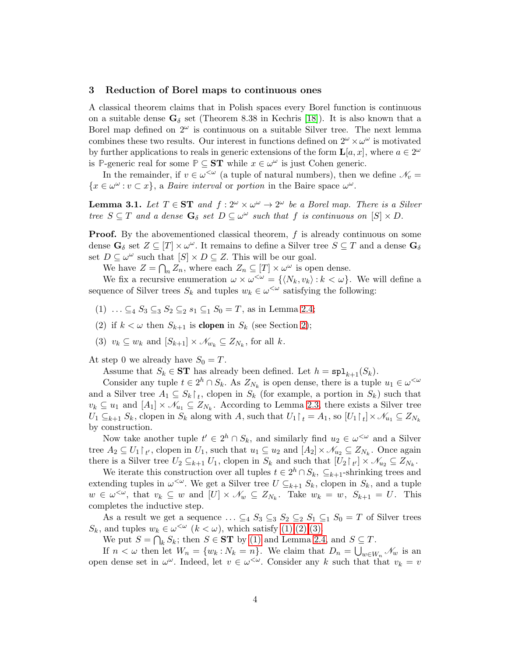#### <span id="page-3-0"></span>3 Reduction of Borel maps to continuous ones

A classical theorem claims that in Polish spaces every Borel function is continuous on a suitable dense  $\mathbf{G}_{\delta}$  set (Theorem 8.38 in Kechris [\[18\]](#page-15-8)). It is also known that a Borel map defined on  $2^{\omega}$  is continuous on a suitable Silver tree. The next lemma combines these two results. Our interest in functions defined on  $2^{\omega} \times \omega^{\omega}$  is motivated by further applications to reals in generic extensions of the form  $\mathbf{L}[a, x]$ , where  $a \in 2^{\omega}$ is **P**-generic real for some  $\mathbb{P} \subseteq \mathbf{ST}$  while  $x \in \omega^{\omega}$  is just Cohen generic.

In the remainder, if  $v \in \omega^{\langle \omega \rangle}$  (a tuple of natural numbers), then we define  $\mathcal{N}_v =$  $\{x \in \omega^{\omega} : v \subset x\},\$ a Baire interval or portion in the Baire space  $\omega^{\omega}$ .

<span id="page-3-4"></span>**Lemma 3.1.** Let  $T \in \mathbf{ST}$  and  $f : 2^{\omega} \times \omega^{\omega} \to 2^{\omega}$  be a Borel map. There is a Silver tree  $S \subseteq T$  and a dense  $\mathbf{G}_{\delta}$  set  $D \subseteq \omega^{\omega}$  such that f is continuous on  $[S] \times D$ .

**Proof.** By the abovementioned classical theorem,  $f$  is already continuous on some dense  $G_{\delta}$  set  $Z \subseteq [T] \times \omega^{\omega}$ . It remains to define a Silver tree  $S \subseteq T$  and a dense  $G_{\delta}$ set  $D \subseteq \omega^{\omega}$  such that  $[S] \times D \subseteq Z$ . This will be our goal.

We have  $Z = \bigcap_n Z_n$ , where each  $Z_n \subseteq [T] \times \omega^\omega$  is open dense.

<span id="page-3-1"></span>We fix a recursive enumeration  $\omega \times \omega^{\leq \omega} = \{ \langle N_k, v_k \rangle : k \langle \omega \rangle \}$ . We will define a sequence of Silver trees  $S_k$  and tuples  $w_k \in \omega^{\leq \omega}$  satisfying the following:

- <span id="page-3-2"></span>(1) ...  $\subseteq_4 S_3 \subseteq_3 S_2 \subseteq_2 s_1 \subseteq_1 S_0 = T$ , as in Lemma [2.4;](#page-2-1)
- <span id="page-3-3"></span>(2) if  $k < \omega$  then  $S_{k+1}$  is **clopen** in  $S_k$  (see Section [2\)](#page-1-0);
- (3)  $v_k \subseteq w_k$  and  $[S_{k+1}] \times \mathcal{N}_{w_k} \subseteq Z_{N_k}$ , for all k.

At step 0 we already have  $S_0 = T$ .

Assume that  $S_k \in \mathbf{ST}$  has already been defined. Let  $h = \mathbf{spl}_{k+1}(S_k)$ .

Consider any tuple  $t \in 2^h \cap S_k$ . As  $Z_{N_k}$  is open dense, there is a tuple  $u_1 \in \omega^{\leq \omega}$ and a Silver tree  $A_1 \subseteq S_k \upharpoonright_t$ , clopen in  $S_k$  (for example, a portion in  $S_k$ ) such that  $v_k \subseteq u_1$  and  $[A_1] \times \mathcal{N}_{u_1} \subseteq Z_{N_k}$ . According to Lemma [2.3,](#page-2-2) there exists a Silver tree  $U_1 \subseteq_{k+1} S_k$ , clopen in  $S_k$  along with A, such that  $U_1 \upharpoonright_t = A_1$ , so  $[U_1 \upharpoonright_t] \times \mathcal{N}_{u_1} \subseteq Z_{N_k}$ by construction.

Now take another tuple  $t' \in 2^h \cap S_k$ , and similarly find  $u_2 \in \omega^{\langle \omega \rangle}$  and a Silver tree  $A_2 \subseteq U_1 \upharpoonright_{t'}$ , clopen in  $U_1$ , such that  $u_1 \subseteq u_2$  and  $[A_2] \times \mathcal{N}_{u_2} \subseteq Z_{N_k}$ . Once again there is a Silver tree  $U_2 \subseteq_{k+1} U_1$ , clopen in  $S_k$  and such that  $[U_2 \upharpoonright_{t'}] \times \mathcal{N}_{u_2} \subseteq Z_{N_k}$ .

We iterate this construction over all tuples  $t \in 2^h \cap S_k$ ,  $\subseteq_{k+1}$ -shrinking trees and extending tuples in  $\omega^{\leq \omega}$ . We get a Silver tree  $U \subseteq_{k+1} S_k$ , clopen in  $S_k$ , and a tuple  $w \in \omega^{\leq \omega}$ , that  $v_k \subseteq w$  and  $[U] \times \mathcal{N}_w \subseteq Z_{N_k}$ . Take  $w_k = w$ ,  $S_{k+1} = U$ . This completes the inductive step.

As a result we get a sequence  $\ldots \subseteq_4 S_3 \subseteq_3 S_2 \subseteq_2 S_1 \subseteq_1 S_0 = T$  of Silver trees  $S_k$ , and tuples  $w_k \in \omega^{\langle \omega \rangle}$   $(k < \omega)$ , which satisfy  $(1), (2), (3)$ .

We put  $S = \bigcap_k S_k$ ; then  $S \in \mathbf{ST}$  by [\(1\)](#page-3-1) and Lemma [2.4,](#page-2-1) and  $S \subseteq T$ .

If  $n < \omega$  then let  $W_n = \{w_k : N_k = n\}$ . We claim that  $D_n = \bigcup_{w \in W_n} \mathcal{N}_w$  is an open dense set in  $\omega^{\omega}$ . Indeed, let  $v \in \omega^{\langle \omega \rangle}$ . Consider any k such that that  $v_k = v$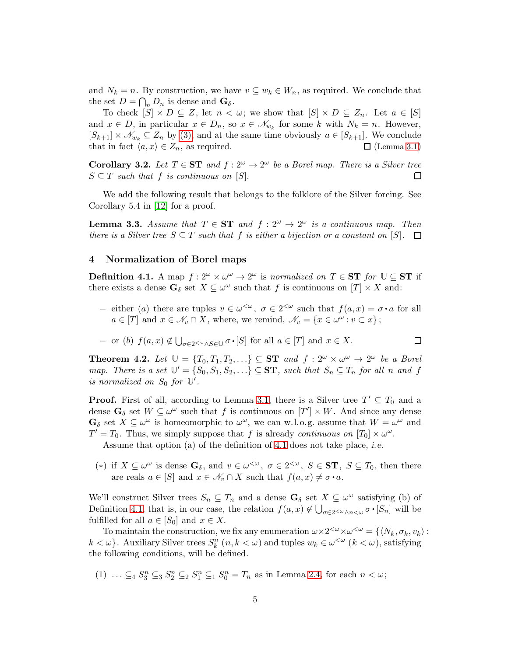and  $N_k = n$ . By construction, we have  $v \subseteq w_k \in W_n$ , as required. We conclude that the set  $D = \bigcap_n D_n$  is dense and  $\mathbf{G}_{\delta}$ .

To check  $[S] \times D \subseteq Z$ , let  $n < \omega$ ; we show that  $[S] \times D \subseteq Z_n$ . Let  $a \in [S]$ and  $x \in D$ , in particular  $x \in D_n$ , so  $x \in \mathcal{N}_{w_k}$  for some k with  $N_k = n$ . However,  $[S_{k+1}] \times \mathcal{N}_{w_k} \subseteq Z_n$  by [\(3\),](#page-3-3) and at the same time obviously  $a \in [S_{k+1}]$ . We conclude that in fact  $\langle a, x \rangle \in Z_n$ , as required.  $\square$  (Lemma [3.1](#page-3-4))

<span id="page-4-5"></span>**Corollary 3.2.** Let  $T \in \mathbf{ST}$  and  $f : 2^{\omega} \to 2^{\omega}$  be a Borel map. There is a Silver tree  $S \subseteq T$  such that f is continuous on  $[S]$ .  $\Box$ 

We add the following result that belongs to the folklore of the Silver forcing. See Corollary 5.4 in [\[12\]](#page-15-6) for a proof.

<span id="page-4-6"></span>**Lemma 3.3.** Assume that  $T \in \mathbf{ST}$  and  $f: 2^{\omega} \to 2^{\omega}$  is a continuous map. Then there is a Silver tree  $S \subseteq T$  such that f is either a bijection or a constant on  $[S]$ .  $\Box$ 

# <span id="page-4-0"></span>4 Normalization of Borel maps

<span id="page-4-1"></span>**Definition 4.1.** A map  $f: 2^{\omega} \times \omega^{\omega} \to 2^{\omega}$  is normalized on  $T \in ST$  for  $\mathbb{U} \subseteq ST$  if there exists a dense  $\mathbf{G}_{\delta}$  set  $X \subseteq \omega^{\omega}$  such that f is continuous on  $[T] \times X$  and:

 $-$  either (a) there are tuples  $v \in \omega^{\lt \omega}$ ,  $\sigma \in 2^{<\omega}$  such that  $f(a,x) = \sigma \cdot a$  for all  $a \in [T]$  and  $x \in \mathcal{N}_v \cap X$ , where, we remind,  $\mathcal{N}_v = \{x \in \omega^\omega : v \subset x\}$ ;

 $\Box$ 

- or (b) 
$$
f(a, x) \notin \bigcup_{\sigma \in 2^{\lt} \omega} \wedge S \in \mathbb{U} \sigma \cdot [S]
$$
 for all  $a \in [T]$  and  $x \in X$ .

<span id="page-4-4"></span>**Theorem 4.2.** Let  $\mathbb{U} = \{T_0, T_1, T_2, \ldots\} \subseteq \mathbf{ST}$  and  $f : 2^{\omega} \times \omega^{\omega} \to 2^{\omega}$  be a Borel map. There is a set  $\mathbb{U}' = \{S_0, S_1, S_2, \ldots\} \subseteq \mathbf{ST}$ , such that  $S_n \subseteq T_n$  for all n and f is normalized on  $S_0$  for  $\mathbb{U}'$ .

**Proof.** First of all, according to Lemma [3.1,](#page-3-4) there is a Silver tree  $T' \subseteq T_0$  and a dense  $\mathbf{G}_{\delta}$  set  $W \subseteq \omega^{\omega}$  such that f is continuous on  $[T'] \times W$ . And since any dense  $\mathbf{G}_{\delta}$  set  $X \subseteq \omega^{\omega}$  is homeomorphic to  $\omega^{\omega}$ , we can w.l.o.g. assume that  $W = \omega^{\omega}$  and  $T' = T_0$ . Thus, we simply suppose that f is already continuous on  $[T_0] \times \omega^{\omega}$ .

Assume that option (a) of the definition of [4.1](#page-4-1) does not take place, i.e.

<span id="page-4-3"></span>(\*) if  $X \subseteq \omega^{\omega}$  is dense  $\mathbf{G}_{\delta}$ , and  $v \in \omega^{\langle \omega \rangle}$ ,  $\sigma \in 2^{\langle \omega \rangle}$ ,  $S \in \mathbf{ST}$ ,  $S \subseteq T_0$ , then there are reals  $a \in [S]$  and  $x \in \mathcal{N}_v \cap X$  such that  $f(a, x) \neq \sigma \cdot a$ .

We'll construct Silver trees  $S_n \subseteq T_n$  and a dense  $\mathbf{G}_{\delta}$  set  $X \subseteq \omega^{\omega}$  satisfying (b) of Definition [4.1,](#page-4-1) that is, in our case, the relation  $f(a, x) \notin \bigcup_{\sigma \in 2 \le \omega \wedge n \le \omega} \sigma \cdot [S_n]$  will be fulfilled for all  $a \in [S_0]$  and  $x \in X$ .

To maintain the construction, we fix any enumeration  $\omega \times 2^{<\omega} \times \omega^{<\omega} = \{ \langle N_k, \sigma_k, v_k \rangle :$  $k < \omega$ . Auxiliary Silver trees  $S_k^n$   $(n, k < \omega)$  and tuples  $w_k \in \omega^{\langle \omega \rangle}(k < \omega)$ , satisfying the following conditions, will be defined.

<span id="page-4-2"></span>(1)  $\ldots \subseteq_4 S_3^n \subseteq_3 S_2^n \subseteq_2 S_1^n \subseteq_1 S_0^n = T_n$  as in Lemma [2.4,](#page-2-1) for each  $n < \omega$ ;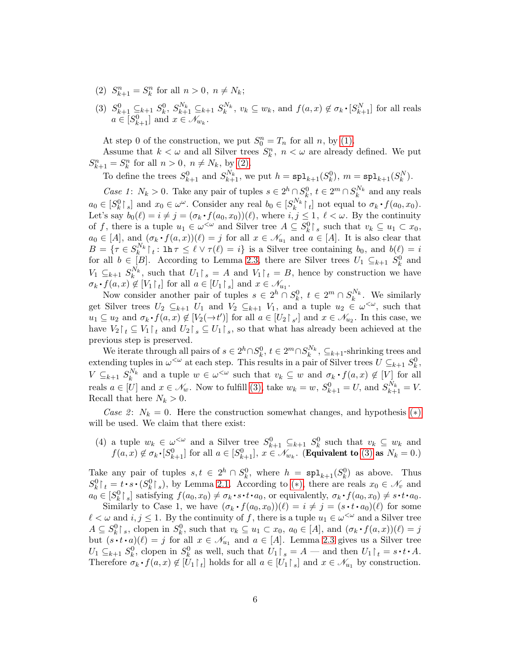- <span id="page-5-1"></span><span id="page-5-0"></span>(2)  $S_{k+1}^n = S_k^n$  for all  $n > 0, n \neq N_k$ ;
- (3)  $S_{k+1}^0 \subseteq_{k+1} S_k^0$ ,  $S_{k+1}^{N_k} \subseteq_{k+1} S_k^{N_k}$ ,  $v_k \subseteq w_k$ , and  $f(a, x) \notin \sigma_k \cdot [S_{k+1}^N]$  for all reals q  $a \in [S_{k+1}^0]$  and  $x \in \mathcal{N}_{w_k}$ .

At step 0 of the construction, we put  $S_0^n = T_n$  for all n, by [\(1\).](#page-4-2)

Assume that  $k < \omega$  and all Silver trees  $S_k^n$ ,  $n < \omega$  are already defined. We put  $S_{k+1}^n = S_k^n$  for all  $n > 0, n \neq N_k$ , by [\(2\).](#page-5-0)

To define the trees  $S_{k+1}^0$  and  $S_{k+1}^{N_k}$ , we put  $h = \text{spl}_{k+1}(S_k^0)$ ,  $m = \text{spl}_{k+1}(S_k^N)$ .

Case 1:  $N_k > 0$ . Take any pair of tuples  $s \in 2^h \cap S_k^0$ ,  $t \in 2^m \cap S_k^{N_k}$  and any reals  $a_0 \in [S_k^0 \rceil_s]$  and  $x_0 \in \omega^\omega$ . Consider any real  $b_0 \in [S_k^{N_k} \rceil_t]$  not equal to  $\sigma_k \cdot f(a_0, x_0)$ . Let's say  $b_0(\ell) = i \neq j = (\sigma_k \cdot f(a_0, x_0))(\ell)$ , where  $i, j \leq 1, \ell < \omega$ . By the continuity of f, there is a tuple  $u_1 \in \omega^{\leq \omega}$  and Silver tree  $A \subseteq S_k^0 \upharpoonright_s$  such that  $v_k \subseteq u_1 \subset x_0$ ,  $a_0 \in [A]$ , and  $(\sigma_k \cdot f(a,x))(\ell) = j$  for all  $x \in \mathcal{N}_{u_1}$  and  $a \in [A]$ . It is also clear that  $B = \{ \tau \in S_k^{N_k} \mid t : \text{lh } \tau \leq \ell \vee \tau(\ell) = i \}$  is a Silver tree containing  $b_0$ , and  $b(\ell) = i$ for all  $b \in [B]$ . According to Lemma [2.3,](#page-2-2) there are Silver trees  $U_1 \subseteq_{k+1} S_k^0$  and  $V_1 \subseteq_{k+1} S_k^{N_k}$ , such that  $U_1 \upharpoonright_s = A$  and  $V_1 \upharpoonright_t = B$ , hence by construction we have  $\sigma_k \cdot f(a, x) \notin [V_1 \upharpoonright_t]$  for all  $a \in [U_1 \upharpoonright_s]$  and  $x \in \mathcal{N}_{u_1}$ .

Now consider another pair of tuples  $s \in 2^h \cap S_k^0$ ,  $t \in 2^m \cap S_k^{N_k}$ . We similarly get Silver trees  $U_2 \subseteq_{k+1} U_1$  and  $V_2 \subseteq_{k+1} V_1$ , and a tuple  $u_2 \in \omega^{\lt \omega}$ , such that  $u_1 \subseteq u_2$  and  $\sigma_k \cdot f(a, x) \notin [V_2(\to t')]$  for all  $a \in [U_2 \upharpoonright_{s'}]$  and  $x \in \mathcal{N}_{u_2}$ . In this case, we have  $V_2 \upharpoonright_t \subseteq V_1 \upharpoonright_t$  and  $U_2 \upharpoonright_s \subseteq U_1 \upharpoonright_s$ , so that what has already been achieved at the previous step is preserved.

We iterate through all pairs of  $s \in 2^h \cap S_k^0$ ,  $t \in 2^m \cap S_k^{N_k}$ ,  $\subseteq_{k+1}$ -shrinking trees and extending tuples in  $\omega^{\leq \omega}$  at each step. This results in a pair of Silver trees  $U \subseteq_{k+1} S_k^0$ ,  $V \subseteq_{k+1} S_k^{N_k}$  and a tuple  $w \in \omega^{\leq \omega}$  such that  $v_k \subseteq w$  and  $\sigma_k \cdot f(a,x) \notin V$  for all reals  $a \in [U]$  and  $x \in \mathcal{N}_w$ . Now to fulfill [\(3\),](#page-5-1) take  $w_k = w$ ,  $S^0_{k+1} = U$ , and  $S^{N_k}_{k+1} = V$ . Recall that here  $N_k > 0$ .

<span id="page-5-2"></span>Case 2:  $N_k = 0$ . Here the construction somewhat changes, and hypothesis (\*) will be used. We claim that there exist:

(4) a tuple  $w_k \in \omega^{\leq \omega}$  and a Silver tree  $S^0_{k+1} \subseteq_{k+1} S^0_k$  such that  $v_k \subseteq w_k$  and  $f(a, x) \notin \sigma_k \cdot [S^0_{k+1}]$  for all  $a \in [S^0_{k+1}], x \in \mathcal{N}_{w_k}$ . (Equivalent to [\(3\)](#page-5-1) as  $N_k = 0$ .)  $\ddot{\phantom{0}}$ 

Take any pair of tuples  $s, t \in 2^h \cap S_k^0$ , where  $h = \text{spl}_{k+1}(S_k^0)$  as above. Thus  $S_k^0\upharpoonright_t = t \cdot s \cdot (S_k^0\upharpoonright_s)$  $S_k^0\upharpoonright_t = t \cdot s \cdot (S_k^0\upharpoonright_s)$  $S_k^0\upharpoonright_t = t \cdot s \cdot (S_k^0\upharpoonright_s)$ , by Lemma [2.1.](#page-2-0) According to (\*), there are reals  $x_0 \in \mathcal{N}_v$  and  $a_0 \in [S_k^0 \rceil_s]$  satisfying  $f(a_0, x_0) \neq \sigma_k \cdot s \cdot t \cdot a_0$ , or equivalently,  $\sigma_k \cdot f(a_0, x_0) \neq s \cdot t \cdot a_0$ . q q

Similarly to Case 1, we have  $(\sigma_k \cdot f(a_0, x_0))(\ell) = i \neq j = (s \cdot t \cdot a_0)(\ell)$  for some q  $\ell < \omega$  and  $i, j \leq 1$ . By the continuity of f, there is a tuple  $u_1 \in \omega^{\leq \omega}$  and a Silver tree  $A \subseteq S_k^0 \upharpoonright_s$ , clopen in  $S_k^0$ , such that  $v_k \subseteq u_1 \subset x_0$ ,  $a_0 \in [A]$ , and  $(\sigma_k \cdot f(a, x))(\ell) = j$ but  $(s \cdot t \cdot a)(\ell) = j$  for all  $x \in \mathcal{N}_{u_1}$  and  $a \in [A]$ . Lemma [2.3](#page-2-2) gives us a Silver tree  $U_1 \subseteq_{k+1} S_k^0$ , clopen in  $S_k^0$  as well, such that  $U_1 \upharpoonright_s = A$  — and then  $U_1 \upharpoonright_t = s \cdot t \cdot A$ . q Therefore  $\sigma_k \cdot f(a, x) \notin [\overline{U}_1 \upharpoonright_t]$  holds for all  $a \in [U_1 \upharpoonright_s]$  and  $x \in \mathcal{N}_{u_1}$  by construction.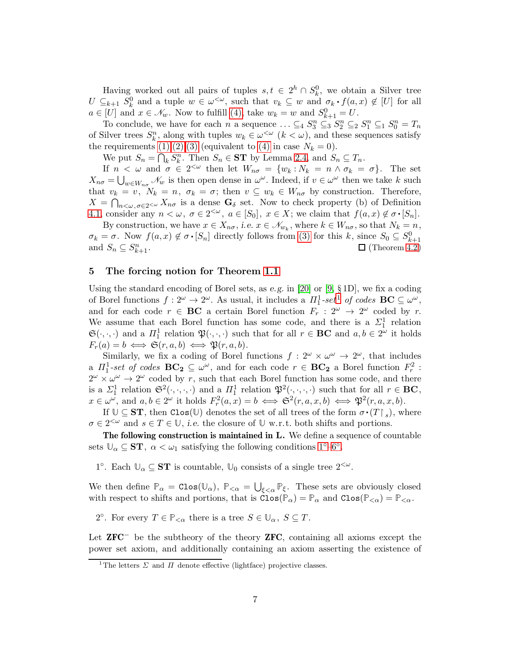Having worked out all pairs of tuples  $s, t \in 2^h \cap S_k^0$ , we obtain a Silver tree  $U \subseteq_{k+1} S_k^0$  and a tuple  $w \in \omega^{\leq \omega}$ , such that  $v_k \subseteq w$  and  $\sigma_k \cdot f(a, x) \notin [U]$  for all  $a \in [U]$  and  $x \in \mathcal{N}_w$ . Now to fulfill [\(4\),](#page-5-2) take  $w_k = w$  and  $S^0_{k+1} = U$ .

To conclude, we have for each n a sequence  $\ldots \subseteq_4 S_3^n \subseteq_3 S_2^n \subseteq_2 S_1^n \subseteq_1 S_0^n = T_n$ of Silver trees  $S_k^n$ , along with tuples  $w_k \in \omega^{\leq \omega}$   $(k < \omega)$ , and these sequences satisfy the requirements  $(1),(2),(3)$  $(1),(2),(3)$  $(1),(2),(3)$  (equivalent to  $(4)$  in case  $N_k = 0$ ).

We put  $S_n = \bigcap_k S_k^n$ . Then  $S_n \in \mathbf{ST}$  by Lemma [2.4,](#page-2-1) and  $S_n \subseteq T_n$ .

If  $n < \omega$  and  $\sigma \in 2^{<\omega}$  then let  $W_{n\sigma} = \{w_k : N_k = n \wedge \sigma_k = \sigma\}$ . The set  $X_{n\sigma} = \bigcup_{w \in W_{n\sigma}} \mathcal{N}_w$  is then open dense in  $\omega^{\omega}$ . Indeed, if  $v \in \omega^{\omega}$  then we take k such that  $v_k = v$ ,  $N_k = n$ ,  $\sigma_k = \sigma$ ; then  $v \subseteq w_k \in W_{n\sigma}$  by construction. Therefore,  $X = \bigcap_{n<\omega,\,\sigma\in 2<\omega} X_{n\sigma}$  is a dense  $\mathbf{G}_{\delta}$  set. Now to check property (b) of Definition [4.1,](#page-4-1) consider any  $n < \omega, \ \sigma \in 2^{<\omega}, \ a \in [S_0], \ x \in X$ ; we claim that  $f(a, x) \notin \sigma \cdot [S_n]$ .

By construction, we have  $x \in X_{n\sigma}$ , i.e.  $x \in \mathcal{N}_{w_k}$ , where  $k \in W_{n\sigma}$ , so that  $N_k = n$ ,  $\sigma_k = \sigma$ . Now  $f(a, x) \notin \sigma \cdot [S_n]$  directly follows from [\(3\)](#page-5-1) for this k, since  $S_0 \subseteq S_{k+1}^0$ and  $S_n \subseteq S_k^n$  $\Box$  (Theorem [4.2](#page-4-4))

## <span id="page-6-0"></span>5 The forcing notion for Theorem [1.1](#page-1-1)

Using the standard encoding of Borel sets, as e.g. in [\[20\]](#page-15-9) or [\[9,](#page-15-10)  $\S 1D$ ], we fix a coding of Borel functions  $f: 2^{\omega} \to 2^{\omega}$ . As usual, it includes a  $\Pi_1^1 \text{-} set^1$  $\Pi_1^1 \text{-} set^1$  $\Pi_1^1 \text{-} set^1$  of codes  $\mathbf{BC} \subseteq \omega^{\omega}$ , and for each code  $r \in BC$  a certain Borel function  $F_r : 2^{\omega} \to 2^{\omega}$  coded by r. We assume that each Borel function has some code, and there is a  $\Sigma_1^1$  relation  $\mathfrak{S}(\cdot,\cdot,\cdot)$  and a  $\Pi_1^1$  relation  $\mathfrak{P}(\cdot,\cdot,\cdot)$  such that for all  $r \in \mathbf{BC}$  and  $a, b \in 2^\omega$  it holds  $F_r(a) = b \iff \mathfrak{S}(r, a, b) \iff \mathfrak{P}(r, a, b).$ 

Similarly, we fix a coding of Borel functions  $f: 2^{\omega} \times \omega^{\omega} \to 2^{\omega}$ , that includes a  $\Pi_1^1$ -set of codes  $BC_2 \subseteq \omega^\omega$ , and for each code  $r \in BC_2$  a Borel function  $F_r^2$ :  $2^{\omega} \times \omega^{\omega} \rightarrow 2^{\omega}$  coded by r, such that each Borel function has some code, and there is a  $\Sigma_1^1$  relation  $\mathfrak{S}^2(\cdot,\cdot,\cdot,\cdot)$  and a  $\Pi_1^1$  relation  $\mathfrak{P}^2(\cdot,\cdot,\cdot,\cdot)$  such that for all  $r \in \mathbf{BC}$ ,  $x \in \omega^{\omega}$ , and  $a, b \in 2^{\omega}$  it holds  $F_r^2(a, x) = b \iff \mathfrak{S}^2(r, a, x, b) \iff \mathfrak{P}^2(r, a, x, b)$ .

If  $\mathbb{U} \subseteq ST$ , then  $\text{Clos}(\mathbb{U})$  denotes the set of all trees of the form  $\sigma \cdot (T \restriction_s)$ , where  $\sigma \in 2^{<\omega}$  and  $s \in T \in \mathbb{U}$ , *i.e.* the closure of  $\mathbb{U}$  w.r.t. both shifts and portions.

The following construction is maintained in L. We define a sequence of countable sets  $\mathbb{U}_{\alpha} \subseteq \mathbf{ST}$ ,  $\alpha < \omega_1$  satisfying the following conditions  $1^{\circ}$ -6<sup>°</sup>.

<span id="page-6-2"></span>1<sup>°</sup>. Each  $\mathbb{U}_{\alpha} \subseteq \mathbf{ST}$  is countable,  $\mathbb{U}_{0}$  consists of a single tree  $2^{<\omega}$ .

We then define  $\mathbb{P}_{\alpha} = \text{Clos}(\mathbb{U}_{\alpha})$ ,  $\mathbb{P}_{\leq \alpha} = \bigcup_{\xi < \alpha} \mathbb{P}_{\xi}$ . These sets are obviously closed with respect to shifts and portions, that is  $\text{Clos}(\mathbb{P}_{\alpha}) = \mathbb{P}_{\alpha}$  and  $\text{Clos}(\mathbb{P}_{<\alpha}) = \mathbb{P}_{<\alpha}$ .

<span id="page-6-3"></span>2°. For every  $T \in \mathbb{P}_{< \alpha}$  there is a tree  $S \in \mathbb{U}_{\alpha}, S \subseteq T$ .

Let  $ZFC<sup>-</sup>$  be the subtheory of the theory  $ZFC$ , containing all axioms except the power set axiom, and additionally containing an axiom asserting the existence of

<span id="page-6-1"></span><sup>&</sup>lt;sup>1</sup>The letters  $\Sigma$  and  $\Pi$  denote effective (lightface) projective classes.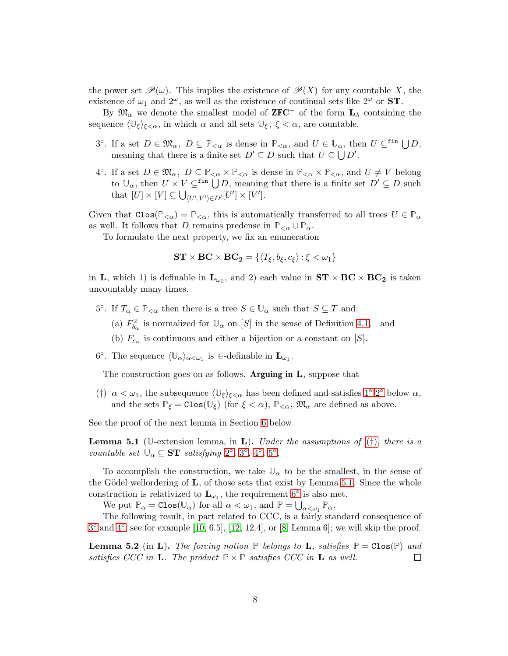the power set  $\mathscr{P}(\omega)$ . This implies the existence of  $\mathscr{P}(X)$  for any countable X, the existence of  $\omega_1$  and  $2^{\omega}$ , as well as the existence of continual sets like  $2^{\omega}$  or **ST**.

By  $\mathfrak{M}_{\alpha}$  we denote the smallest model of **ZFC**<sup>−</sup> of the form  $\mathbf{L}_{\lambda}$  containing the sequence  $\langle \mathbb{U}_{\xi} \rangle_{\xi < \alpha}$ , in which  $\alpha$  and all sets  $\mathbb{U}_{\xi}$ ,  $\xi < \alpha$ , are countable.

- <span id="page-7-2"></span>3°. If a set  $D \in \mathfrak{M}_{\alpha}$ ,  $D \subseteq \mathbb{P}_{<\alpha}$  is dense in  $\mathbb{P}_{<\alpha}$ , and  $U \in \mathbb{U}_{\alpha}$ , then  $U \subseteq^{\text{fin}} \bigcup D$ , meaning that there is a finite set  $D' \subseteq D$  such that  $U \subseteq \bigcup D'$ .
- <span id="page-7-3"></span>4°. If a set  $D \in \mathfrak{M}_{\alpha}$ ,  $D \subseteq \mathbb{P}_{\leq \alpha} \times \mathbb{P}_{\leq \alpha}$  is dense in  $\mathbb{P}_{\leq \alpha} \times \mathbb{P}_{\leq \alpha}$ , and  $U \neq V$  belong to  $\mathbb{U}_{\alpha}$ , then  $U \times V \subseteq$ <sup>fin</sup>  $\bigcup D$ , meaning that there is a finite set  $D' \subseteq D$  such that  $[U] \times [V] \subseteq \bigcup_{\langle U', V' \rangle \in D'} [U'] \times [V']$ .

Given that  $Clos(\mathbb{P}_{< \alpha}) = \mathbb{P}_{< \alpha}$ , this is automatically transferred to all trees  $U \in \mathbb{P}_{\alpha}$ as well. It follows that D remains predense in  $\mathbb{P}_{<\alpha} \cup \mathbb{P}_{\alpha}$ .

To formulate the next property, we fix an enumeration

$$
\textbf{ST} \times \textbf{BC} \times \textbf{BC}_2 = \{ \langle T_{\xi}, b_{\xi}, c_{\xi} \rangle : \xi < \omega_1 \}
$$

in **L**, which 1) is definable in  $\mathbf{L}_{\omega_1}$ , and 2) each value in  $ST \times BC \times BC_2$  is taken uncountably many times.

- <span id="page-7-4"></span>5°. If  $T_{\alpha} \in \mathbb{P}_{< \alpha}$  then there is a tree  $S \in \mathbb{U}_{\alpha}$  such that  $S \subseteq T$  and:
	- (a)  $F_{b_{\alpha}}^2$  is normalized for  $\mathbb{U}_{\alpha}$  on [S] in the sense of Definition [4.1,](#page-4-1) and
	- (b)  $F_{c_{\alpha}}$  is continuous and either a bijection or a constant on [S].
- <span id="page-7-0"></span>6°. The sequence  $\langle \mathbb{U}_{\alpha} \rangle_{\alpha \langle \omega_1}$  is  $\in$ -definable in  $\mathbf{L}_{\omega_1}$ .

<span id="page-7-1"></span>The construction goes on as follows. Arguing in  $L$ , suppose that

(†)  $\alpha < \omega_1$ , the subsequence  $\langle \mathbb{U}_{\xi} \rangle_{\xi < \alpha}$  has been defined and satisfies [1](#page-6-2)°[,2](#page-6-3)° below  $\alpha$ , and the sets  $\mathbb{P}_{\xi} = \text{Clos}(\mathbb{U}_{\xi})$  (for  $\xi < \alpha$ ),  $\mathbb{P}_{\leq \alpha}$ ,  $\mathfrak{M}_{\alpha}$  are defined as above.

See the proof of the next lemma in Section [6](#page-8-0) below.

<span id="page-7-5"></span>**Lemma 5.1** ( $\mathbb{U}$ -extension lemma, in **L**). Under the assumptions of ( $\dagger$ ), there is a countable set  $\mathbb{U}_{\alpha} \subseteq \mathbf{ST}$  satisfying  $2^{\circ}$  $2^{\circ}$ ,  $3^{\circ}$  $3^{\circ}$ ,  $4^{\circ}$  $4^{\circ}$ ,  $5^{\circ}$  $5^{\circ}$ .

To accomplish the construction, we take  $\mathbb{U}_{\alpha}$  to be the smallest, in the sense of the Gödel wellordering of **, of those sets that exist by Lemma [5.1.](#page-7-5) Since the whole** construction is relativized to  $\mathbf{L}_{\omega_1}$ , the requirement [6](#page-7-0)<sup>°</sup> is also met.

We put  $\mathbb{P}_{\alpha} = \text{Clos}(\mathbb{U}_{\alpha})$  for all  $\alpha < \omega_1$ , and  $\mathbb{P} = \bigcup_{\alpha < \omega_1} \mathbb{P}_{\alpha}$ .

The following result, in part related to CCC, is a fairly standard consequence of  $3^{\circ}$  $3^{\circ}$  and  $4^{\circ}$ , see for example [\[10,](#page-15-4) 6.5], [\[12,](#page-15-6) 12.4], or [\[8,](#page-15-11) Lemma 6]; we will skip the proof.

<span id="page-7-6"></span>**Lemma 5.2** (in **L**). The forcing notion  $\mathbb{P}$  belongs to **L**, satisfies  $\mathbb{P} = \text{Clos}(\mathbb{P})$  and satisfies CCC in **L**. The product  $\mathbb{P} \times \mathbb{P}$  satisfies CCC in **L** as well. 囗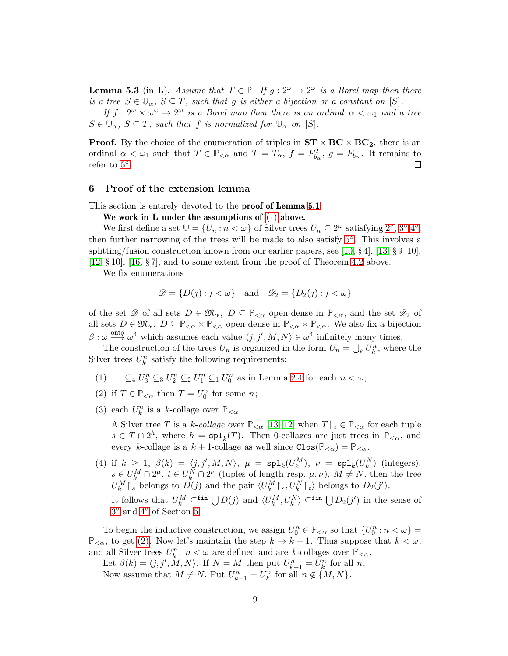<span id="page-8-5"></span>**Lemma 5.3** (in **L**). Assume that  $T \in \mathbb{P}$ . If  $g: 2^{\omega} \to 2^{\omega}$  is a Borel map then there is a tree  $S \in \mathbb{U}_{\alpha}$ ,  $S \subseteq T$ , such that g is either a bijection or a constant on [S].

If  $f: 2^{\omega} \times \omega^{\omega} \to 2^{\omega}$  is a Borel map then there is an ordinal  $\alpha < \omega_1$  and a tree  $S \in \mathbb{U}_{\alpha}$ ,  $S \subseteq T$ , such that f is normalized for  $\mathbb{U}_{\alpha}$  on [S].

**Proof.** By the choice of the enumeration of triples in  $ST \times BC \times BC_2$ , there is an ordinal  $\alpha < \omega_1$  such that  $T \in \mathbb{P}_{< \alpha}$  and  $T = T_\alpha$ ,  $f = F_{b_\alpha}^2$ ,  $g = F_{b_\alpha}$ . It remains to refer to [5](#page-7-4)◦ .  $\Box$ 

## <span id="page-8-0"></span>6 Proof of the extension lemma

This section is entirely devoted to the **proof of Lemma [5.1](#page-7-5)**.

We work in L under the assumptions of  $(\dagger)$  above.

We first define a set  $\mathbb{U} = \{U_n : n < \omega\}$  of Silver trees  $U_n \subseteq 2^\omega$  $U_n \subseteq 2^\omega$  $U_n \subseteq 2^\omega$  satisfying  $2^\circ, 3^\circ, 4^\circ$  $2^\circ, 3^\circ, 4^\circ$  $2^\circ, 3^\circ, 4^\circ$  $2^\circ, 3^\circ, 4^\circ$  $2^\circ, 3^\circ, 4^\circ$ ; then further narrowing of the trees will be made to also satisfy [5](#page-7-4)◦ . This involves a splitting/fusion construction known from our earlier papers, see [\[10,](#page-15-4)  $\S 4$ ], [\[13,](#page-15-7)  $\S 9$ –10], [\[12,](#page-15-6) § 10], [\[16,](#page-15-12) § 7], and to some extent from the proof of Theorem [4.2](#page-4-4) above.

We fix enumerations

$$
\mathscr{D} = \{ D(j) : j < \omega \} \quad \text{and} \quad \mathscr{D}_2 = \{ D_2(j) : j < \omega \}
$$

of the set  $\mathscr{D}$  of all sets  $D \in \mathfrak{M}_{\alpha}$ ,  $D \subseteq \mathbb{P}_{<\alpha}$  open-dense in  $\mathbb{P}_{<\alpha}$ , and the set  $\mathscr{D}_2$  of all sets  $D \in \mathfrak{M}_{\alpha}$ ,  $D \subseteq \mathbb{P}_{\leq \alpha} \times \mathbb{P}_{\leq \alpha}$  open-dense in  $\mathbb{P}_{\leq \alpha} \times \mathbb{P}_{\leq \alpha}$ . We also fix a bijection  $\beta : \omega \stackrel{\text{onto}}{\longrightarrow} \omega^4$  which assumes each value  $\langle j, j', M, N \rangle \in \omega^4$  infinitely many times.

The construction of the trees  $U_n$  is organized in the form  $U_n = \bigcup_k U_k^n$ , where the Silver trees  $U_k^n$  satisfy the following requirements:

- <span id="page-8-4"></span><span id="page-8-1"></span>(1)  $\ldots \subseteq_4 U_3^n \subseteq_3 U_2^n \subseteq_2 U_1^n \subseteq_1 U_0^n$  as in Lemma [2.4](#page-2-1) for each  $n < \omega$ ;
- <span id="page-8-2"></span>(2) if  $T \in \mathbb{P}_{< \alpha}$  then  $T = U_0^n$  for some *n*;
- (3) each  $U_k^n$  is a k-collage over  $\mathbb{P}_{<\alpha}$ .

A Silver tree T is a k-collage over  $\mathbb{P}_{<\alpha}$  [\[13,](#page-15-7) [12\]](#page-15-6) when  $T \upharpoonright_s \in \mathbb{P}_{<\alpha}$  for each tuple  $s \in T \cap 2^h$ , where  $h = \text{spl}_k(T)$ . Then 0-collages are just trees in  $\mathbb{P}_{<\alpha}$ , and every k-collage is a  $k + 1$ -collage as well since  $Clos(\mathbb{P}_{\leq \alpha}) = \mathbb{P}_{\leq \alpha}$ .

<span id="page-8-3"></span>(4) if  $k \geq 1$ ,  $\beta(k) = \langle j, j', M, N \rangle$ ,  $\mu = \text{spl}_k(U_k^M)$ ,  $\nu = \text{spl}_k(U_k^N)$  (integers),  $k \in U_k^M \cap 2^{\mu}, t \in U_k^N \cap 2^{\nu}$  (tuples of length resp.  $\mu, \nu$ ),  $M \neq N$ , then the tree  $U_k^M \upharpoonright_s$  belongs to  $D(j)$  and the pair  $\langle U_k^M \upharpoonright_s, U_k^N \upharpoonright_t \rangle$  belongs to  $D_2(j')$ . It follows that  $U_k^M \subseteq^{\text{fin}} \bigcup D(j)$  and  $\langle U_k^M, U_k^N \rangle \subseteq^{\text{fin}} \bigcup D_2(j')$  in the sense of [3](#page-7-2) ◦ and [4](#page-7-3)◦ of Section [5.](#page-6-0)

To begin the inductive construction, we assign  $U_0^n \in \mathbb{P}_{\leq \alpha}$  so that  $\{U_0^n : n < \omega\}$  $\mathbb{P}_{<\alpha}$ , to get [\(2\).](#page-8-1) Now let's maintain the step  $k \to k+1$ . Thus suppose that  $k < \omega$ , and all Silver trees  $U_k^n$ ,  $n < \omega$  are defined and are k-collages over  $\mathbb{P}_{\leq \alpha}$ .

Let  $\beta(k) = \langle j, j', M, N \rangle$ . If  $N = M$  then put  $U_{k+1}^n = U_k^n$  for all n. Now assume that  $M \neq N$ . Put  $U_{k+1}^n = U_k^n$  for all  $n \notin \{M, N\}$ .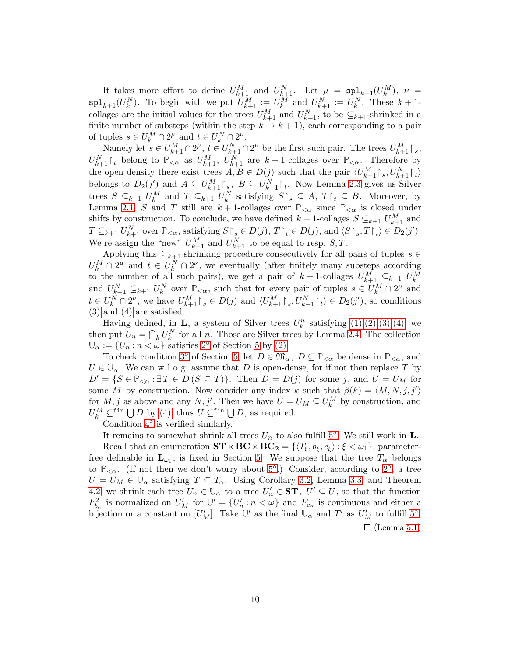It takes more effort to define  $U_{k+1}^M$  and  $U_{k+1}^N$ . Let  $\mu = \text{spl}_{k+1}(U_k^M)$ ,  $\nu =$  $\text{spl}_{k+1}(U_k^N)$ . To begin with we put  $U_{k+1}^M := U_k^M$  and  $U_{k+1}^N := U_k^N$ . These  $k+1$ collages are the initial values for the trees  $U_{k+1}^M$  and  $U_{k+1}^N$ , to be  $\subseteq_{k+1}$ -shrinked in a finite number of substeps (within the step  $k \to k+1$ ), each corresponding to a pair of tuples  $s \in U_k^M \cap 2^{\mu}$  and  $t \in U_k^N \cap 2^{\nu}$ .

Namely let  $s \in U_{k+1}^M \cap 2^{\mu}, t \in U_{k+1}^N \cap 2^{\nu}$  be the first such pair. The trees  $U_{k+1}^M \upharpoonright_s$ ,  $U_{k+1}^N$  belong to  $\mathbb{P}_{<\alpha}$  as  $U_{k+1}^M$ ,  $U_{k+1}^N$  are  $k+1$ -collages over  $\mathbb{P}_{<\alpha}$ . Therefore by the open density there exist trees  $A, B \in D(j)$  such that the pair  $\langle U_{k+1}^M \upharpoonright_s, U_{k+1}^N \upharpoonright_t$ belongs to  $D_2(j')$  and  $A \subseteq U_{k+1}^M \upharpoonright_s$ ,  $B \subseteq U_{k+1}^N \upharpoonright_t$ . Now Lemma [2.3](#page-2-2) gives us Silver trees  $S \subseteq_{k+1} U_k^M$  and  $T \subseteq_{k+1} U_k^N$  satisfying  $S \upharpoonright_s \subseteq A$ ,  $T \upharpoonright_t \subseteq B$ . Moreover, by Lemma [2.1,](#page-2-0) S and T still are  $k+1$ -collages over  $\mathbb{P}_{\leq \alpha}$  since  $\mathbb{P}_{\leq \alpha}$  is closed under shifts by construction. To conclude, we have defined  $k+1$ -collages  $S \subseteq_{k+1} U_{k+1}^M$  and  $T \subseteq_{k+1} U_{k+1}^N$  over  $\mathbb{P}_{<\alpha}$ , satisfying  $S \upharpoonright_s \in D(j)$ ,  $T \upharpoonright_t \in D(j)$ , and  $\langle S \upharpoonright_s, T \upharpoonright_t \rangle \in D_2(j')$ . We re-assign the "new"  $U_{k+1}^M$  and  $U_{k+1}^N$  to be equal to resp.  $S, T$ .

Applying this  $\subseteq_{k+1}$ -shrinking procedure consecutively for all pairs of tuples  $s \in$  $U_k^M \cap 2^{\mu}$  and  $t \in U_k^N \cap 2^{\nu}$ , we eventually (after finitely many substeps according to the number of all such pairs), we get a pair of  $k+1$ -collages  $U_{k+1}^M \subseteq_{k+1} U_k^M$ and  $U_{k+1}^N \subseteq_{k+1} U_k^N$  over  $\mathbb{P}_{<\alpha}$ , such that for every pair of tuples  $s \in U_k^M \cap 2^\mu$  and  $t \in U_k^N \cap 2^{\nu}$ , we have  $U_{k+1}^M \upharpoonright_s \in D(j)$  and  $\langle U_{k+1}^M \upharpoonright_s, U_{k+1}^N \upharpoonright_t \rangle \in D_2(j')$ , so conditions [\(3\)](#page-8-2) and [\(4\)](#page-8-3) are satisfied.

Having defined, in **L**, a system of Silver trees  $U_k^n$  satisfying  $(1),(2),(3),(4)$  $(1),(2),(3),(4)$  $(1),(2),(3),(4)$  $(1),(2),(3),(4)$ , we then put  $U_n = \bigcap_k U_k^N$  for all n. Those are Silver trees by Lemma [2.4.](#page-2-1) The collection  $\mathbb{U}_{\alpha} := \{U_n : n < \omega\}$  satisfies [2](#page-6-3)° of Section [5](#page-6-0) by [\(2\).](#page-8-1)

To check condition [3](#page-7-2)<sup>°</sup> of Section [5,](#page-6-0) let  $D \in \mathfrak{M}_{\alpha}$ ,  $D \subseteq \mathbb{P}_{< \alpha}$  be dense in  $\mathbb{P}_{< \alpha}$ , and  $U \in \mathbb{U}_{\alpha}$ . We can w.l.o.g. assume that D is open-dense, for if not then replace T by  $D' = \{S \in \mathbb{P}_{\leq \alpha} : \exists T \in D \, (S \subseteq T)\}.$  Then  $D = D(j)$  for some j, and  $U = U_M$  for some M by construction. Now consider any index k such that  $\beta(k) = \langle M, N, j, j' \rangle$ for  $M, j$  as above and any  $N, j'$ . Then we have  $U = U_M \subseteq U_k^M$  by construction, and  $U_k^M \subseteq^{\text{fin}} \bigcup D$  by [\(4\),](#page-8-3) thus  $U \subseteq^{\text{fin}} \bigcup D$ , as required.

Condition [4](#page-7-3)◦ is verified similarly.

It remains to somewhat shrink all trees  $U_n$  to also fulfill [5](#page-7-4)<sup>°</sup>. We still work in **L**. Recall that an enumeration  $\mathbf{ST} \times \mathbf{BC} \times \mathbf{BC}_2 = {\langle T_{\xi}, b_{\xi}, c_{\xi} \rangle : \xi < \omega_1 },$  parameterfree definable in  $\mathbf{L}_{\omega_1}$ , is fixed in Section [5.](#page-6-0) We suppose that the tree  $T_\alpha$  belongs to  $\mathbb{P}_{<\alpha}$ . (If not then we don't worry about [5](#page-7-4)<sup>°</sup>.) Consider, according to [2](#page-6-3)<sup>°</sup>, a tree  $U = U_M \in \mathbb{U}_{\alpha}$  satisfying  $T \subseteq T_{\alpha}$ . Using Corollary [3.2,](#page-4-5) Lemma [3.3,](#page-4-6) and Theorem [4.2,](#page-4-4) we shrink each tree  $U_n \in \mathbb{U}_\alpha$  to a tree  $U'_n \in \mathbf{ST}$ ,  $U' \subseteq U$ , so that the function  $F_{b_\alpha}^2$  is normalized on  $U_M'$  for  $\mathbb{U}' = \{U_n' : n < \omega\}$  and  $F_{c_\alpha}$  is continuous and either a bijection or a constant on  $[U'_M]$ . Take  $\mathbb{U}'$  as the final  $\mathbb{U}_\alpha$  and  $T'$  as  $U'_M$  to fulfill [5](#page-7-4)°.  $\Box$  (Lemma [5.1](#page-7-5))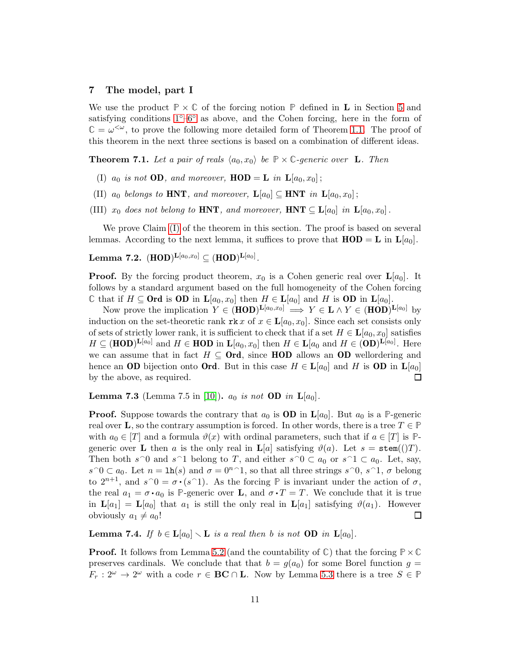# 7 The model, part I

We use the product  $\mathbb{P} \times \mathbb{C}$  of the forcing notion  $\mathbb{P}$  defined in **L** in Section [5](#page-6-0) and satisfying conditions [1](#page-6-2)◦[–6](#page-7-0)◦ as above, and the Cohen forcing, here in the form of  $\mathbb{C} = \omega^{\lt \omega}$ , to prove the following more detailed form of Theorem [1.1.](#page-1-1) The proof of this theorem in the next three sections is based on a combination of different ideas.

<span id="page-10-3"></span><span id="page-10-0"></span>**Theorem 7.1.** Let a pair of reals  $\langle a_0, x_0 \rangle$  be  $\mathbb{P} \times \mathbb{C}$ -generic over **L**. Then

- <span id="page-10-5"></span>(I)  $a_0$  is not **OD**, and moreover, **HOD** = **L** in  $\mathbf{L}[a_0, x_0]$ ;
- <span id="page-10-6"></span>(II)  $a_0$  belongs to HNT, and moreover,  $\mathbf{L}[a_0] \subseteq \mathbf{HNT}$  in  $\mathbf{L}[a_0, x_0]$ ;
- (III)  $x_0$  does not belong to HNT, and moreover, HNT  $\subseteq L[a_0]$  in  $L[a_0, x_0]$ .

We prove Claim [\(I\)](#page-10-0) of the theorem in this section. The proof is based on several lemmas. According to the next lemma, it suffices to prove that  $HOD = L$  in  $L[a_0]$ .

# <span id="page-10-4"></span> $\textbf{Lemma 7.2. (HOD)}^{\textbf{L}[a_0,x_0]} \subseteq (\textbf{HOD})^{\textbf{L}[a_0]}.$

**Proof.** By the forcing product theorem,  $x_0$  is a Cohen generic real over  $\mathbf{L}[a_0]$ . It follows by a standard argument based on the full homogeneity of the Cohen forcing  $\mathbb C$  that if  $H \subseteq \textbf{Ord}$  is OD in  $\mathbf L[a_0, x_0]$  then  $H \in \mathbf L[a_0]$  and H is OD in  $\mathbf L[a_0]$ .

Now prove the implication  $Y \in (HOD)^{\mathbf{L}[a_0,x_0]} \implies Y \in \mathbf{L} \wedge Y \in (HOD)^{\mathbf{L}[a_0]}$  by induction on the set-theoretic rank  $\texttt{rk} x$  of  $x \in L[a_0, x_0]$ . Since each set consists only of sets of strictly lower rank, it is sufficient to check that if a set  $H \in L[a_0, x_0]$  satisfies  $H \subseteq (\text{HOD})^{\mathbf{L}[a_0]}$  and  $H \in \text{HOD}$  in  $\mathbf{L}[a_0, x_0]$  then  $H \in \mathbf{L}[a_0 \text{ and } H \in (\text{OD})^{\mathbf{L}[a_0]}$ . Here we can assume that in fact  $H \subseteq \mathbf{Ord}$ , since HOD allows an OD wellordering and hence an OD bijection onto Ord. But in this case  $H \in L[a_0]$  and H is OD in  $L[a_0]$ by the above, as required.  $\Box$ 

<span id="page-10-1"></span>**Lemma 7.3** (Lemma 7.5 in [\[10\]](#page-15-4)).  $a_0$  is not **OD** in  $\mathbf{L}[a_0]$ .

**Proof.** Suppose towards the contrary that  $a_0$  is **OD** in  $\mathbf{L}[a_0]$ . But  $a_0$  is a **P**-generic real over **L**, so the contrary assumption is forced. In other words, there is a tree  $T \in \mathbb{P}$ with  $a_0 \in [T]$  and a formula  $\vartheta(x)$  with ordinal parameters, such that if  $a \in [T]$  is  $\mathbb{P}$ generic over **L** then a is the only real in  $\mathbf{L}[a]$  satisfying  $\vartheta(a)$ . Let  $s = \text{stem}(()T)$ . Then both  $s^0$  and  $s^1$  belong to T, and either  $s^0 \subset a_0$  or  $s^1 \subset a_0$ . Let, say,  $s \cap 0 \subset a_0$ . Let  $n = \ln(s)$  and  $\sigma = 0^{n-1}$ , so that all three strings  $s \cap 0$ ,  $s \cap 1$ ,  $\sigma$  belong to  $2^{n+1}$ , and  $s \cap 0 = \sigma \cdot (s \cap 1)$ . As the forcing **P** is invariant under the action of  $\sigma$ , the real  $a_1 = \sigma \cdot a_0$  is P-generic over **L**, and  $\sigma \cdot T = T$ . We conclude that it is true in  $\mathbf{L}[a_1] = \mathbf{L}[a_0]$  that  $a_1$  is still the only real in  $\mathbf{L}[a_1]$  satisfying  $\vartheta(a_1)$ . However obviously  $a_1 \neq a_0!$  $\Box$ 

<span id="page-10-2"></span>**Lemma 7.4.** If  $b \in L[a_0] \setminus L$  is a real then b is not **OD** in  $L[a_0]$ .

**Proof.** It follows from Lemma [5.2](#page-7-6) (and the countability of  $\mathbb{C}$ ) that the forcing  $\mathbb{P}\times\mathbb{C}$ preserves cardinals. We conclude that that  $b = g(a_0)$  for some Borel function  $g =$  $F_r: 2^{\omega} \to 2^{\omega}$  with a code  $r \in \mathbf{BC} \cap \mathbf{L}$ . Now by Lemma [5.3](#page-8-5) there is a tree  $S \in \mathbb{P}$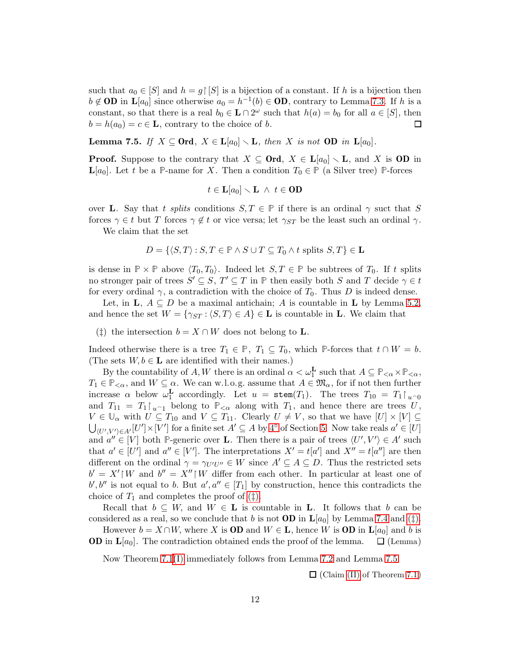such that  $a_0 \in [S]$  and  $h = g \upharpoonright [S]$  is a bijection of a constant. If h is a bijection then  $b \notin$  **OD** in  $\mathbf{L}[a_0]$  since otherwise  $a_0 = h^{-1}(b) \in$  **OD**, contrary to Lemma [7.3.](#page-10-1) If h is a constant, so that there is a real  $b_0 \in \mathbf{L} \cap 2^{\omega}$  such that  $h(a) = b_0$  for all  $a \in [S]$ , then  $b = h(a_0) = c \in \mathbf{L}$ , contrary to the choice of b.  $\Box$ 

<span id="page-11-1"></span>Lemma 7.5. If  $X \subseteq \text{Ord}, X \in \mathbf{L}[a_0] \setminus \mathbf{L}$ , then X is not OD in  $\mathbf{L}[a_0]$ .

**Proof.** Suppose to the contrary that  $X \subseteq \textbf{Ord}, X \in L[a_0] \setminus L$ , and X is OD in  $\mathbf{L}[a_0]$ . Let t be a **P**-name for X. Then a condition  $T_0 \in \mathbb{P}$  (a Silver tree) **P**-forces

$$
t\in \mathbf{L}[a_0]\smallsetminus \mathbf{L}\ \wedge\ t\in \mathbf{OD}
$$

over **L**. Say that t splits conditions  $S, T \in \mathbb{P}$  if there is an ordinal  $\gamma$  suct that S forces  $\gamma \in t$  but T forces  $\gamma \notin t$  or vice versa; let  $\gamma_{ST}$  be the least such an ordinal  $\gamma$ .

We claim that the set

$$
D = \{ \langle S, T \rangle : S, T \in \mathbb{P} \land S \cup T \subseteq T_0 \land t \text{ splits } S, T \} \in \mathbf{L}
$$

is dense in  $\mathbb{P} \times \mathbb{P}$  above  $\langle T_0, T_0 \rangle$ . Indeed let  $S, T \in \mathbb{P}$  be subtrees of  $T_0$ . If t splits no stronger pair of trees  $S' \subseteq S$ ,  $T' \subseteq T$  in  $\mathbb P$  then easily both S and T decide  $\gamma \in t$ for every ordinal  $\gamma$ , a contradiction with the choice of  $T_0$ . Thus D is indeed dense.

<span id="page-11-0"></span>Let, in  $\mathbf{L}, A \subseteq D$  be a maximal antichain; A is countable in  $\mathbf{L}$  by Lemma [5.2,](#page-7-6) and hence the set  $W = \{\gamma_{ST} : \langle S, T \rangle \in A\} \in \mathbf{L}$  is countable in **L**. We claim that

(‡) the intersection  $b = X \cap W$  does not belong to **L**.

Indeed otherwise there is a tree  $T_1 \in \mathbb{P}$ ,  $T_1 \subseteq T_0$ , which  $\mathbb{P}$ -forces that  $t \cap W = b$ . (The sets  $W, b \in L$  are identified with their names.)

By the countability of  $A, W$  there is an ordinal  $\alpha < \omega_1^{\mathbf{L}}$  such that  $A \subseteq \mathbb{P}_{<\alpha} \times \mathbb{P}_{<\alpha}$ ,  $T_1 \in \mathbb{P}_{< \alpha}$ , and  $W \subseteq \alpha$ . We can w.l.o.g. assume that  $A \in \mathfrak{M}_{\alpha}$ , for if not then further increase  $\alpha$  below  $\omega_1^{\mathbf{L}}$  $\frac{1}{1}$  accordingly. Let  $u = \texttt{stem}(T_1)$ . The trees  $T_{10} = T_1 \upharpoonright_{u \cap 0}$ and  $T_{11} = T_1 \upharpoonright_{u \cap 1}$  belong to  $\mathbb{P}_{< \alpha}$  along with  $T_1$ , and hence there are trees U,  $V \in \mathbb{U}_{\alpha}$  with  $U \subseteq T_{10}$  and  $V \subseteq T_{11}$ . Clearly  $U \neq V$ , so that we have  $[U] \times [V] \subseteq$  $\bigcup_{(U',V')\in A'} [U'] \times [V']$  for a finite set  $A' \subseteq A$  by  $4^{\circ}$  of Section [5.](#page-6-0) Now take reals  $a' \in [U]$ and  $a'' \in [V]$  both P-generic over **L**. Then there is a pair of trees  $\langle U', V' \rangle \in A'$  such that  $a' \in [U']$  and  $a'' \in [V']$ . The interpretations  $X' = t[a']$  and  $X'' = t[a'']$  are then different on the ordinal  $\gamma = \gamma_{U'U''} \in W$  since  $A' \subseteq A \subseteq D$ . Thus the restricted sets  $b' = X' \upharpoonright W$  and  $b'' = X'' \upharpoonright W$  differ from each other. In particular at least one of  $b', b''$  is not equal to b. But  $a', a'' \in [T_1]$  by construction, hence this contradicts the choice of  $T_1$  and completes the proof of  $(\ddagger)$ .

Recall that  $b \subseteq W$ , and  $W \in L$  is countable in L. It follows that b can be considered as a real, so we conclude that b is not **OD** in  $\mathbf{L}[a_0]$  by Lemma [7.4](#page-10-2) and [\(](#page-11-0) $\dagger$ ).

However  $b = X \cap W$ , where X is **OD** and  $W \in L$ , hence W is **OD** in  $L[a_0]$  and b is **OD** in  $\mathbf{L}[a_0]$ . The contradiction obtained ends the proof of the lemma.  $\Box$  (Lemma)

Now Theorem [7.1](#page-10-3)[\(I\)](#page-10-0) immediately follows from Lemma [7.2](#page-10-4) and Lemma [7.5.](#page-11-1)

 $\Box$  (Claim [\(II\)](#page-10-5) of Theorem [7.1](#page-10-3))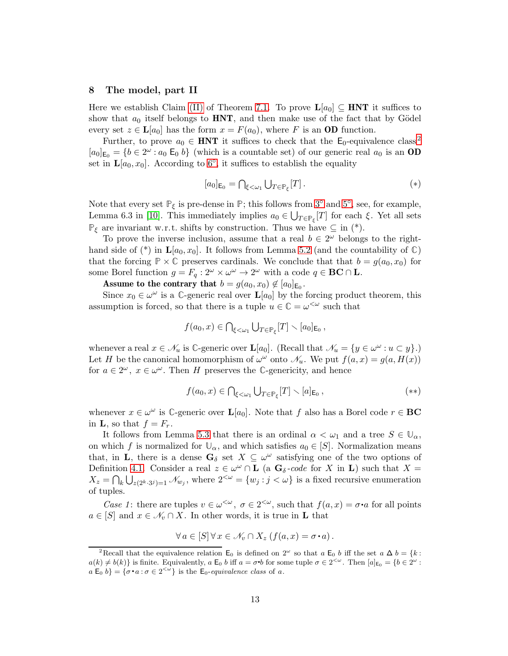# <span id="page-12-0"></span>8 The model, part II

Here we establish Claim [\(II\)](#page-10-5) of Theorem [7.1.](#page-10-3) To prove  $\mathbf{L}[a_0] \subseteq \mathbf{HNT}$  it suffices to show that  $a_0$  itself belongs to **HNT**, and then make use of the fact that by Gödel every set  $z \in L[a_0]$  has the form  $x = F(a_0)$ , where F is an OD function.

Further, to prove  $a_0 \in HNT$  it suffices to check that the E<sub>0</sub>-equivalence class<sup>[2](#page-12-1)</sup>  $[a_0]_{\mathsf{E}_0} = \{b \in 2^{\omega} : a_0 \mathsf{E}_0 \mid b\}$  (which is a countable set) of our generic real  $a_0$  is an **OD** set in  $\mathbf{L}[a_0, x_0]$ . According to  $6^{\circ}$ , it suffices to establish the equality

$$
[a_0]_{\mathsf{E}_0} = \bigcap_{\xi < \omega_1} \bigcup_{T \in \mathbb{P}_{\xi}} [T] \,. \tag{*}
$$

Note that every set  $\mathbb{P}_{\xi}$  is pre-dense in  $\mathbb{P}$ ; this follows from [3](#page-7-2)<sup>°</sup> and [5](#page-7-4)<sup>°</sup>, see, for example, Lemma 6.3 in [\[10\]](#page-15-4). This immediately implies  $a_0 \in \bigcup_{T \in \mathbb{P}_{\xi}}[T]$  for each  $\xi$ . Yet all sets  $\mathbb{P}_{\xi}$  are invariant w.r.t. shifts by construction. Thus we have  $\subseteq$  in (\*).

To prove the inverse inclusion, assume that a real  $b \in 2^{\omega}$  belongs to the righthand side of  $(*)$  in  $\mathbf{L}[a_0, x_0]$ . It follows from Lemma [5.2](#page-7-6) (and the countability of  $\mathbb{C}$ ) that the forcing  $\mathbb{P} \times \mathbb{C}$  preserves cardinals. We conclude that that  $b = g(a_0, x_0)$  for some Borel function  $g = F_q : 2^{\omega} \times \omega^{\omega} \to 2^{\omega}$  with a code  $q \in BC \cap L$ .

Assume to the contrary that  $b = g(a_0, x_0) \not\in [a_0]_{\mathsf{E}_0}$ .

Since  $x_0 \in \omega^{\omega}$  is a  $\mathbb{C}$ -generic real over  $\mathbf{L}[a_0]$  by the forcing product theorem, this assumption is forced, so that there is a tuple  $u \in \mathbb{C} = \omega^{\lt \omega}$  such that

$$
f(a_0,x)\in \bigcap_{\xi<\omega_1}\bigcup_{T\in\mathbb{P}_{\xi}}[T]\setminus [a_0]_{\mathsf{E}_0},
$$

whenever a real  $x \in \mathcal{N}_u$  is  $\mathbb{C}$ -generic over  $\mathbf{L}[a_0]$ . (Recall that  $\mathcal{N}_u = \{y \in \omega^\omega : u \subset y\}$ .) Let H be the canonical homomorphism of  $\omega^{\omega}$  onto  $\mathcal{N}_u$ . We put  $f(a, x) = g(a, H(x))$ for  $a \in 2^{\omega}$ ,  $x \in \omega^{\omega}$ . Then H preserves the *C*-genericity, and hence

$$
f(a_0, x) \in \bigcap_{\xi < \omega_1} \bigcup_{T \in \mathbb{P}_{\xi}} [T] \setminus [a]_{\mathsf{E}_0},\tag{**}
$$

whenever  $x \in \omega^{\omega}$  is  $\mathbb{C}$ -generic over  $\mathbf{L}[a_0]$ . Note that f also has a Borel code  $r \in \mathbf{BC}$ in **L**, so that  $f = F_r$ .

It follows from Lemma [5.3](#page-8-5) that there is an ordinal  $\alpha < \omega_1$  and a tree  $S \in \mathbb{U}_{\alpha}$ , on which f is normalized for  $\mathbb{U}_{\alpha}$ , and which satisfies  $a_0 \in [S]$ . Normalization means that, in **L**, there is a dense  $\mathbf{G}_{\delta}$  set  $X \subseteq \omega^{\omega}$  satisfying one of the two options of Definition [4.1.](#page-4-1) Consider a real  $z \in \omega^{\omega} \cap L$  (a  $G_{\delta}$ -code for X in L) such that  $X =$  $X_z = \bigcap_k \bigcup_{z(2^{k} \cdot 3^j)=1} \mathcal{N}_{w_j}$ , where  $2^{<\omega} = \{w_j : j < \omega\}$  is a fixed recursive enumeration of tuples.

Case 1: there are tuples  $v \in \omega^{\langle \omega \rangle}$ ,  $\sigma \in 2^{\langle \omega \rangle}$ , such that  $f(a, x) = \sigma \cdot a$  for all points  $a \in [S]$  and  $x \in \mathcal{N}_v \cap X$ . In other words, it is true in **L** that

$$
\forall a \in [S] \forall x \in \mathcal{N}_v \cap X_z \left( f(a, x) = \sigma \cdot a \right).
$$

<span id="page-12-1"></span><sup>&</sup>lt;sup>2</sup>Recall that the equivalence relation  $\mathsf{E}_0$  is defined on  $2^\omega$  so that  $a \mathsf{E}_0 b$  iff the set  $a \Delta b = \{k :$  $a(k) \neq b(k)$  is finite. Equivalently,  $a \to b$  iff  $a = \sigma \cdot b$  for some tuple  $\sigma \in 2^{<\omega}$ . Then  $[a]_{\text{E}_0} = \{b \in 2^{\omega} : a \neq b \}$ q  $a \to b$  = { $\sigma \cdot a : \sigma \in 2^{<\omega}$ } is the  $\mathsf{E}_{0}$ -equivalence class of a.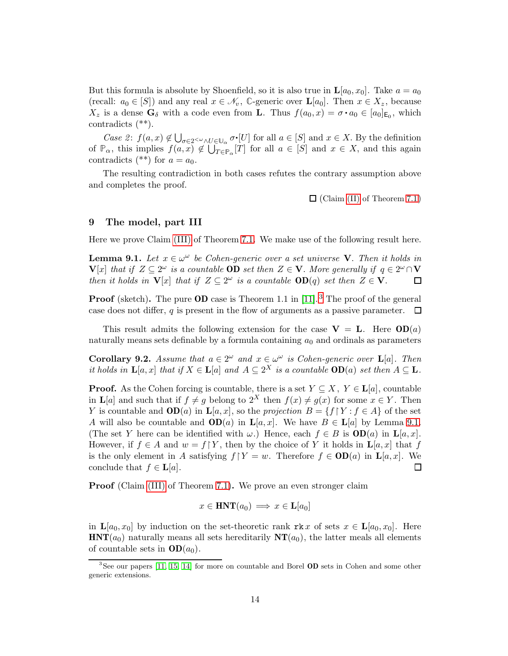But this formula is absolute by Shoenfield, so it is also true in  $\mathbf{L}[a_0, x_0]$ . Take  $a = a_0$ (recall:  $a_0 \in [S]$ ) and any real  $x \in \mathcal{N}_v$ , C-generic over  $\mathbf{L}[a_0]$ . Then  $x \in X_z$ , because  $X_z$  is a dense  $\mathbf{G}_{\delta}$  with a code even from **L**. Thus  $f(a_0, x) = \sigma \cdot a_0 \in [a_0]_{\mathsf{E}_0}$ , which contradicts (\*\*).

Case 2:  $f(a, x) \notin \bigcup_{\sigma \in 2 \leq \omega} \sum_{U \in \mathbb{U}_{\alpha}} \sigma \cdot [U]$  for all  $a \in [S]$  and  $x \in X$ . By the definition of  $\mathbb{P}_{\alpha}$ , this implies  $f(a, x) \notin \bigcup_{T \in \mathbb{P}_{\alpha}}[T]$  for all  $a \in [S]$  and  $x \in X$ , and this again contradicts (\*\*) for  $a = a_0$ .

The resulting contradiction in both cases refutes the contrary assumption above and completes the proof.

 $\Box$  (Claim [\(II\)](#page-10-5) of Theorem [7.1](#page-10-3))

# <span id="page-13-0"></span>9 The model, part III

Here we prove Claim [\(III\)](#page-10-6) of Theorem [7.1.](#page-10-3) We make use of the following result here.

<span id="page-13-2"></span>**Lemma 9.1.** Let  $x \in \omega^{\omega}$  be Cohen-generic over a set universe V. Then it holds in  ${\bf V}[x]$  that if  $Z \subseteq 2^\omega$  is a countable **OD** set then  $Z \in {\bf V}$ . More generally if  $q \in 2^\omega \cap {\bf V}$ then it holds in  $\mathbf{V}[x]$  that if  $Z \subseteq 2^{\omega}$  is a countable  $\mathbf{OD}(q)$  set then  $Z \in \mathbf{V}$ . ◻

**Proof** (sketch). The pure **OD** case is Theorem 1.1 in [\[11\]](#page-15-5).<sup>[3](#page-13-1)</sup> The proof of the general case does not differ, q is present in the flow of arguments as a passive parameter.  $\Box$ 

This result admits the following extension for the case  $V = L$ . Here  $OD(a)$ naturally means sets definable by a formula containing  $a_0$  and ordinals as parameters

<span id="page-13-3"></span>**Corollary 9.2.** Assume that  $a \in 2^{\omega}$  and  $x \in \omega^{\omega}$  is Cohen-generic over **L**[a]. Then it holds in  $\mathbf{L}[a,x]$  that if  $X \in \mathbf{L}[a]$  and  $A \subseteq 2^X$  is a countable  $\mathbf{OD}(a)$  set then  $A \subseteq \mathbf{L}$ .

**Proof.** As the Cohen forcing is countable, there is a set  $Y \subseteq X$ ,  $Y \in L[a]$ , countable in L[a] and such that if  $f \neq g$  belong to  $2^X$  then  $f(x) \neq g(x)$  for some  $x \in Y$ . Then Y is countable and  $OD(a)$  in  $\mathbf{L}[a, x]$ , so the projection  $B = \{f \mid Y : f \in A\}$  of the set A will also be countable and  $OD(a)$  in  $\mathbf{L}[a, x]$ . We have  $B \in \mathbf{L}[a]$  by Lemma [9.1.](#page-13-2) (The set Y here can be identified with  $\omega$ .) Hence, each  $f \in B$  is  $OD(a)$  in  $L[a, x]$ . However, if  $f \in A$  and  $w = f[Y]$ , then by the choice of Y it holds in  $\mathbf{L}[a, x]$  that f is the only element in A satisfying  $f \upharpoonright Y = w$ . Therefore  $f \in OD(a)$  in  $\mathbf{L}[a, x]$ . We conclude that  $f \in L[a]$ .  $\Box$ 

**Proof** (Claim [\(III\)](#page-10-6) of Theorem [7.1\)](#page-10-3). We prove an even stronger claim

$$
x \in \text{HNT}(a_0) \implies x \in \mathbf{L}[a_0]
$$

in  $\mathbf{L}[a_0, x_0]$  by induction on the set-theoretic rank rk x of sets  $x \in \mathbf{L}[a_0, x_0]$ . Here  $HNT(a_0)$  naturally means all sets hereditarily  $NT(a_0)$ , the latter meals all elements of countable sets in  $OD(a_0)$ .

<span id="page-13-1"></span><sup>&</sup>lt;sup>3</sup>See our papers [\[11,](#page-15-5) [15,](#page-15-13) [14\]](#page-15-14) for more on countable and Borel **OD** sets in Cohen and some other generic extensions.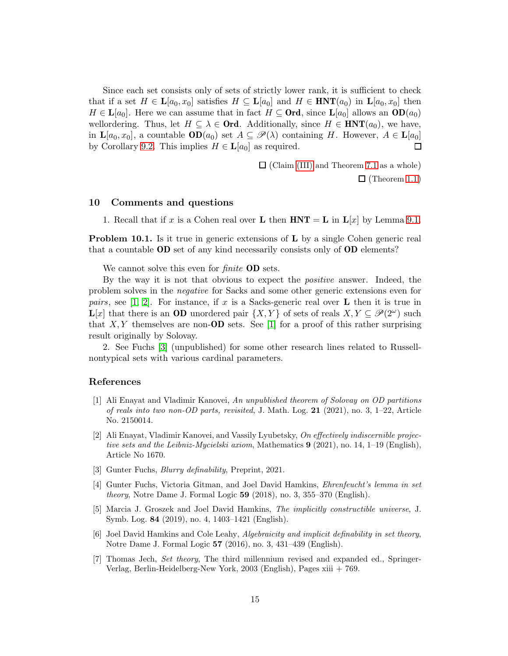Since each set consists only of sets of strictly lower rank, it is sufficient to check that if a set  $H \in \mathbf{L}[a_0, x_0]$  satisfies  $H \subseteq \mathbf{L}[a_0]$  and  $H \in \mathbf{HNT}(a_0)$  in  $\mathbf{L}[a_0, x_0]$  then  $H \in \mathbf{L}[a_0]$ . Here we can assume that in fact  $H \subseteq \mathbf{Ord}$ , since  $\mathbf{L}[a_0]$  allows an  $\mathbf{OD}(a_0)$ wellordering. Thus, let  $H \subseteq \lambda \in \mathbf{Ord}$ . Additionally, since  $H \in \mathbf{HNT}(a_0)$ , we have, in  $\mathbf{L}[a_0, x_0]$ , a countable  $\mathbf{OD}(a_0)$  set  $A \subseteq \mathscr{P}(\lambda)$  containing H. However,  $A \in \mathbf{L}[a_0]$ by Corollary [9.2.](#page-13-3) This implies  $H \in \mathbf{L}[a_0]$  as required.  $\Box$ 

 $\Box$  (Claim [\(III\)](#page-10-6) and Theorem [7.1](#page-10-3) as a whole)

 $\Box$  (Theorem [1.1](#page-1-1))

#### 10 Comments and questions

1. Recall that if x is a Cohen real over **L** then  $HNT = L$  in  $L[x]$  by Lemma [9.1.](#page-13-2)

**Problem 10.1.** Is it true in generic extensions of **L** by a single Cohen generic real that a countable OD set of any kind necessarily consists only of OD elements?

We cannot solve this even for *finite* **OD** sets.

By the way it is not that obvious to expect the positive answer. Indeed, the problem solves in the negative for Sacks and some other generic extensions even for *pairs*, see [\[1,](#page-14-4) [2\]](#page-14-5). For instance, if x is a Sacks-generic real over **L** then it is true in  $\mathbf{L}[x]$  that there is an **OD** unordered pair  $\{X,Y\}$  of sets of reals  $X,Y \subseteq \mathscr{P}(2^{\omega})$  such that  $X, Y$  themselves are non-**OD** sets. See [\[1\]](#page-14-4) for a proof of this rather surprising result originally by Solovay.

2. See Fuchs [\[3\]](#page-14-6) (unpublished) for some other research lines related to Russellnontypical sets with various cardinal parameters.

#### <span id="page-14-4"></span>References

- [1] Ali Enayat and Vladimir Kanovei, An unpublished theorem of Solovay on OD partitions of reals into two non-OD parts, revisited, J. Math. Log.  $21$  (2021), no. 3, 1–22, Article No. 2150014.
- <span id="page-14-5"></span>[2] Ali Enayat, Vladimir Kanovei, and Vassily Lyubetsky, On effectively indiscernible projective sets and the Leibniz-Mycielski axiom, Mathematics  $9(2021)$ , no. 14, 1–19 (English), Article No 1670.
- <span id="page-14-6"></span><span id="page-14-1"></span>[3] Gunter Fuchs, *Blurry definability*, Preprint, 2021.
- [4] Gunter Fuchs, Victoria Gitman, and Joel David Hamkins, Ehrenfeucht's lemma in set *theory*, Notre Dame J. Formal Logic  $59$   $(2018)$ , no. 3,  $355-370$  (English).
- <span id="page-14-2"></span>[5] Marcia J. Groszek and Joel David Hamkins, The implicitly constructible universe, J. Symb. Log. 84 (2019), no. 4, 1403–1421 (English).
- <span id="page-14-3"></span>[6] Joel David Hamkins and Cole Leahy, Algebraicity and implicit definability in set theory, Notre Dame J. Formal Logic 57 (2016), no. 3, 431–439 (English).
- <span id="page-14-0"></span>[7] Thomas Jech, Set theory, The third millennium revised and expanded ed., Springer-Verlag, Berlin-Heidelberg-New York, 2003 (English), Pages xiii + 769.